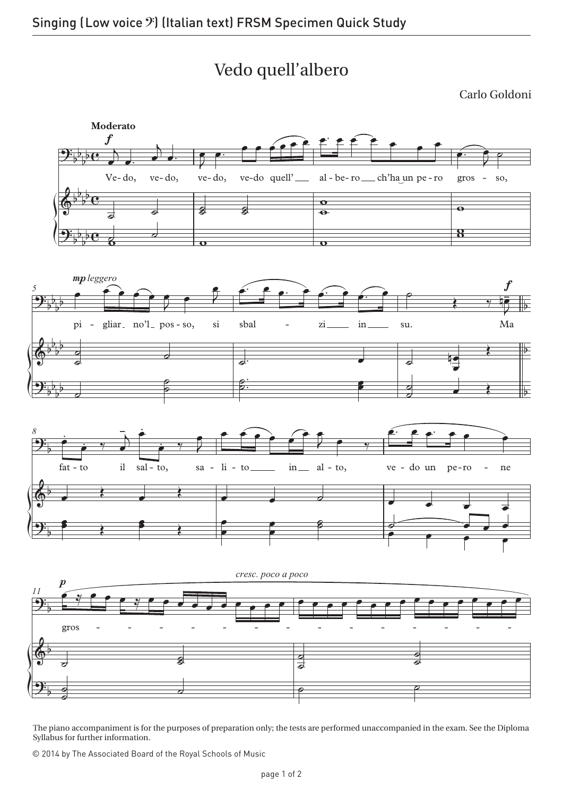## Vedo quell'albero

Carlo Goldoni



The piano accompaniment is for the purposes of preparation only; the tests are performed unaccompanied in the exam. See the Diploma Syllabus for further information.

© 2014 by The Associated Board of the Royal Schools of Music